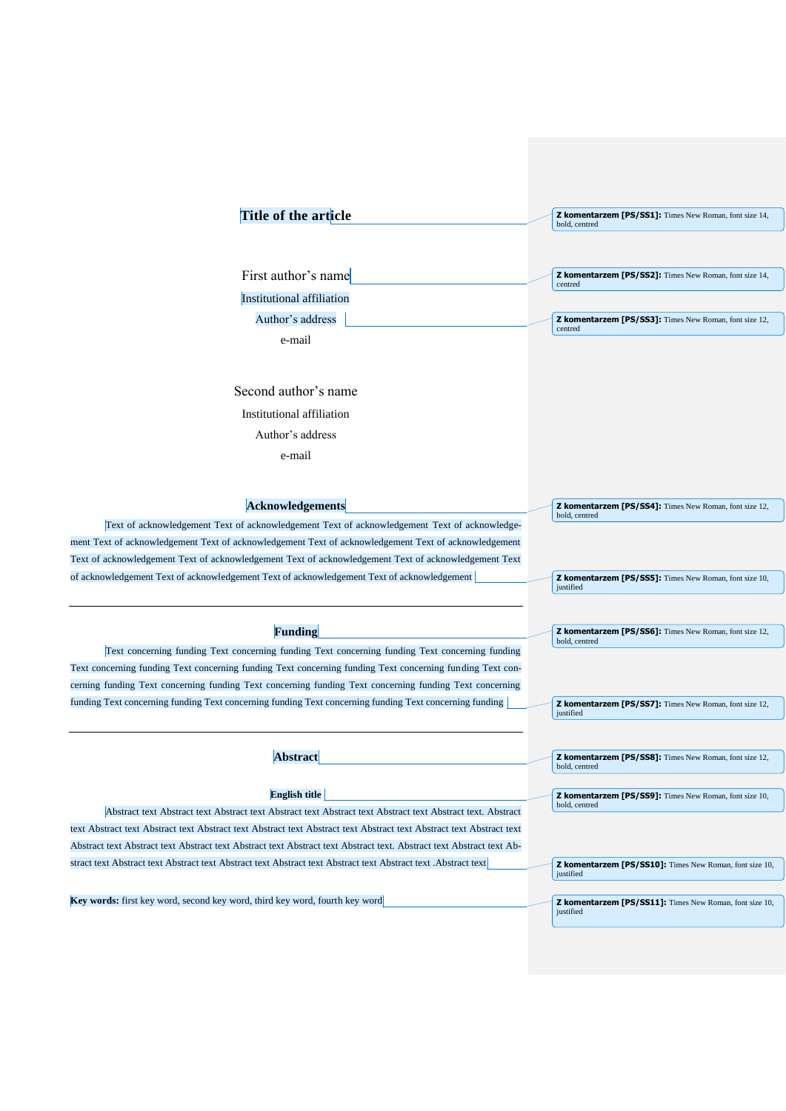| Title of the article                                                                                                                                                                               | <b>Z komentarzem [PS/SS1]:</b> Times New Roman, font size 14,<br>bold, centred |
|----------------------------------------------------------------------------------------------------------------------------------------------------------------------------------------------------|--------------------------------------------------------------------------------|
| First author's name                                                                                                                                                                                | <b>Z komentarzem [PS/SS2]:</b> Times New Roman, font size 14,<br>centred       |
| Institutional affiliation                                                                                                                                                                          |                                                                                |
| Author's address                                                                                                                                                                                   | Z komentarzem [PS/SS3]: Times New Roman, font size 12,                         |
| e-mail                                                                                                                                                                                             | centred                                                                        |
|                                                                                                                                                                                                    |                                                                                |
| Second author's name                                                                                                                                                                               |                                                                                |
| Institutional affiliation                                                                                                                                                                          |                                                                                |
| Author's address                                                                                                                                                                                   |                                                                                |
| e-mail                                                                                                                                                                                             |                                                                                |
|                                                                                                                                                                                                    |                                                                                |
|                                                                                                                                                                                                    |                                                                                |
| <b>Acknowledgements</b>                                                                                                                                                                            | <b>Z komentarzem [PS/SS4]:</b> Times New Roman, font size 12,<br>bold, centred |
| Text of acknowledgement Text of acknowledgement Text of acknowledgement Text of acknowledge-                                                                                                       |                                                                                |
| ment Text of acknowledgement Text of acknowledgement Text of acknowledgement Text of acknowledgement                                                                                               |                                                                                |
| Text of acknowledgement Text of acknowledgement Text of acknowledgement Text of acknowledgement Text<br>of acknowledgement Text of acknowledgement Text of acknowledgement Text of acknowledgement | Z komentarzem [PS/SS5]: Times New Roman, font size 10,                         |
|                                                                                                                                                                                                    | justified                                                                      |
|                                                                                                                                                                                                    |                                                                                |
| <b>Funding</b>                                                                                                                                                                                     | Z komentarzem [PS/SS6]: Times New Roman, font size 12,<br>bold, centred        |
| Text concerning funding Text concerning funding Text concerning funding Text concerning funding                                                                                                    |                                                                                |
| Text concerning funding Text concerning funding Text concerning funding Text concerning funding Text con-                                                                                          |                                                                                |
| cerning funding Text concerning funding Text concerning funding Text concerning funding Text concerning                                                                                            |                                                                                |
| funding Text concerning funding Text concerning funding Text concerning funding Text concerning funding                                                                                            | <b>Z komentarzem [PS/SS7]:</b> Times New Roman, font size 12,<br>justified     |
|                                                                                                                                                                                                    |                                                                                |
| <b>Abstract</b>                                                                                                                                                                                    | <b>Z komentarzem [PS/SS8]:</b> Times New Roman, font size 12,                  |
|                                                                                                                                                                                                    | bold, centred                                                                  |
| <b>English title</b>                                                                                                                                                                               | <b>Z komentarzem [PS/SS9]:</b> Times New Roman, font size 10,                  |
| Abstract text Abstract text Abstract text Abstract text Abstract text Abstract text Abstract text. Abstract                                                                                        | bold, centred                                                                  |
| text Abstract text Abstract text Abstract text Abstract text Abstract text Abstract text Abstract text Abstract text                                                                               |                                                                                |
| Abstract text Abstract text Abstract text Abstract text Abstract text Abstract text. Abstract text Abstract text Ab-                                                                               |                                                                                |
| stract text Abstract text Abstract text Abstract text Abstract text Abstract text Abstract text .Abstract text                                                                                     | Z komentarzem [PS/SS10]: Times New Roman, font size 10,<br>justified           |
|                                                                                                                                                                                                    |                                                                                |
| Key words: first key word, second key word, third key word, fourth key word                                                                                                                        | Z komentarzem [PS/SS11]: Times New Roman, font size 10,<br>justified           |
|                                                                                                                                                                                                    |                                                                                |
|                                                                                                                                                                                                    |                                                                                |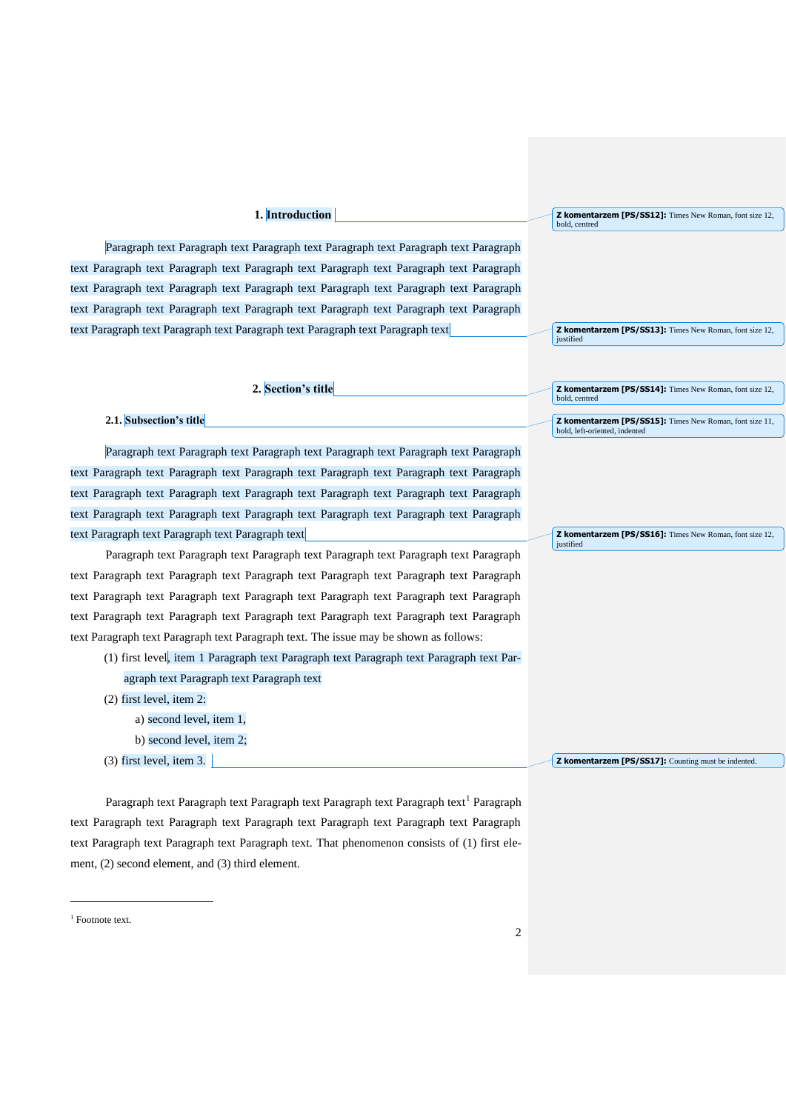# **1. Introduction**

Paragraph text Paragraph text Paragraph text Paragraph text Paragraph text Paragraph text Paragraph text Paragraph text Paragraph text Paragraph text Paragraph text Paragraph text Paragraph text Paragraph text Paragraph text Paragraph text Paragraph text Paragraph text Paragraph text Paragraph text Paragraph text Paragraph text Paragraph text Paragraph text Paragraph text Paragraph text Paragraph text Paragraph text Paragraph text

**Z komentarzem [PS/SS12]:** Times New Roman, font size 12, bold, centred

**Z komentarzem [PS/SS13]:** Times New Roman, font size 12, justified

**Z komentarzem [PS/SS14]:** Times New Roman, font size 12,

**Z komentarzem [PS/SS15]:** Times New Roman, font size 11,

**Z komentarzem [PS/SS16]:** Times New Roman, font size 12,

bold, centred

justified

bold, left-oriented, indented

**2. Section's title**

## **2.1. Subsection's title**

Paragraph text Paragraph text Paragraph text Paragraph text Paragraph text Paragraph text Paragraph text Paragraph text Paragraph text Paragraph text Paragraph text Paragraph text Paragraph text Paragraph text Paragraph text Paragraph text Paragraph text Paragraph text Paragraph text Paragraph text Paragraph text Paragraph text Paragraph text Paragraph text Paragraph text Paragraph text Paragraph text

Paragraph text Paragraph text Paragraph text Paragraph text Paragraph text Paragraph text Paragraph text Paragraph text Paragraph text Paragraph text Paragraph text Paragraph text Paragraph text Paragraph text Paragraph text Paragraph text Paragraph text Paragraph text Paragraph text Paragraph text Paragraph text Paragraph text Paragraph text Paragraph text Paragraph text Paragraph text Paragraph text. The issue may be shown as follows:

| (1) first level, item 1 Paragraph text Paragraph text Paragraph text Paragraph text Par- |
|------------------------------------------------------------------------------------------|
| agraph text Paragraph text Paragraph text                                                |
| $(2)$ first level, item 2:                                                               |
| a) second level, item 1,                                                                 |
| b) second level, item $2$ ;                                                              |

(3) first level, item 3. **Z komentarzem [PS/SS17]:** Counting must be indented.

Paragraph text Paragraph text Paragraph text Paragraph text Paragraph text<sup>1</sup> Paragraph text Paragraph text Paragraph text Paragraph text Paragraph text Paragraph text Paragraph text Paragraph text Paragraph text Paragraph text. That phenomenon consists of (1) first element, (2) second element, and (3) third element.

<sup>1</sup> Footnote text.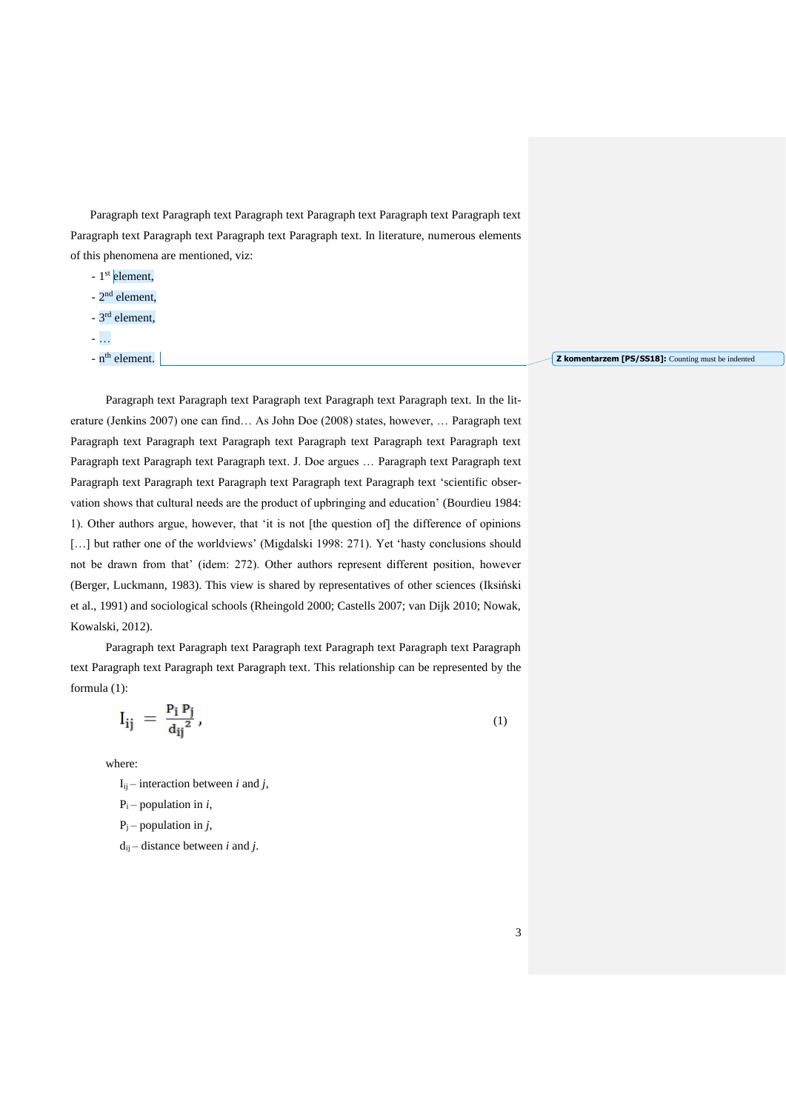Paragraph text Paragraph text Paragraph text Paragraph text Paragraph text Paragraph text Paragraph text Paragraph text Paragraph text Paragraph text. In literature, numerous elements of this phenomena are mentioned, viz:

- 1<sup>st</sup> element,
- 2<sup>nd</sup> element,
- 3<sup>rd</sup> element,
- …
- n<sup>th</sup> element.

**Z komentarzem [PS/SS18]:** Counting must be indented

Paragraph text Paragraph text Paragraph text Paragraph text Paragraph text. In the literature (Jenkins 2007) one can find… As John Doe (2008) states, however, … Paragraph text Paragraph text Paragraph text Paragraph text Paragraph text Paragraph text Paragraph text Paragraph text Paragraph text Paragraph text. J. Doe argues … Paragraph text Paragraph text Paragraph text Paragraph text Paragraph text Paragraph text Paragraph text 'scientific observation shows that cultural needs are the product of upbringing and education' (Bourdieu 1984: 1). Other authors argue, however, that 'it is not [the question of] the difference of opinions [...] but rather one of the worldviews' (Migdalski 1998: 271). Yet 'hasty conclusions should not be drawn from that' (idem: 272). Other authors represent different position, however (Berger, Luckmann, 1983). This view is shared by representatives of other sciences (Iksiński et al., 1991) and sociological schools (Rheingold 2000; Castells 2007; van Dijk 2010; Nowak, Kowalski, 2012).

Paragraph text Paragraph text Paragraph text Paragraph text Paragraph text Paragraph text Paragraph text Paragraph text Paragraph text. This relationship can be represented by the formula (1):

$$
I_{ij} = \frac{P_i P_j}{d_{ij}^2},\tag{1}
$$

where:

 $I_{ii}$  – interaction between *i* and *j*,

 $P_i$  – population in *i*,

 $P_i$  – population in *j*,

 $d_{ij}$  – distance between *i* and *j*.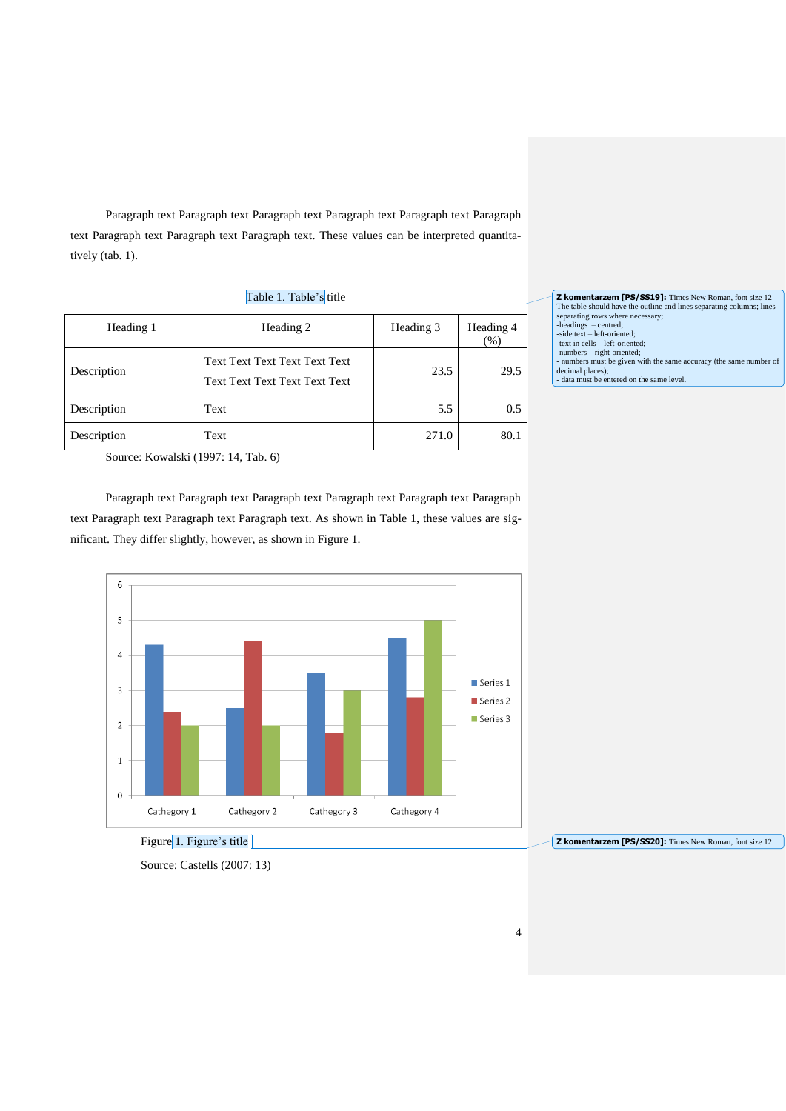Paragraph text Paragraph text Paragraph text Paragraph text Paragraph text Paragraph text Paragraph text Paragraph text Paragraph text. These values can be interpreted quantitatively (tab. 1).

| Table 1. Table's title |                                                                |           |                     |  |  |  |
|------------------------|----------------------------------------------------------------|-----------|---------------------|--|--|--|
| Heading 1              | Heading 2                                                      | Heading 3 | Heading 4<br>$(\%)$ |  |  |  |
| Description            | Text Text Text Text Text Text<br>Text Text Text Text Text Text | 23.5      | 29.5                |  |  |  |
| Description            | Text                                                           | 5.5       | $0.5^{\circ}$       |  |  |  |
| Description            | Text                                                           | 271.0     | 80.1                |  |  |  |

**Z komentarzem [PS/SS19]:** Times New Roman, font size 12<br>The table should have the outline and lines separating columns; lines<br>separating rows where necessary;<br>-headings – centred;<br>-side text – left-oriented; -text in cells – left-oriented; -numbers – right-oriented; - numbers must be given with the same accuracy (the same number of decimal places); - data must be entered on the same level.

Source: Kowalski (1997: 14, Tab. 6)

Paragraph text Paragraph text Paragraph text Paragraph text Paragraph text Paragraph text Paragraph text Paragraph text Paragraph text. As shown in Table 1, these values are significant. They differ slightly, however, as shown in Figure 1.



**Z komentarzem [PS/SS20]:** Times New Roman, font size 12

Source: Castells (2007: 13)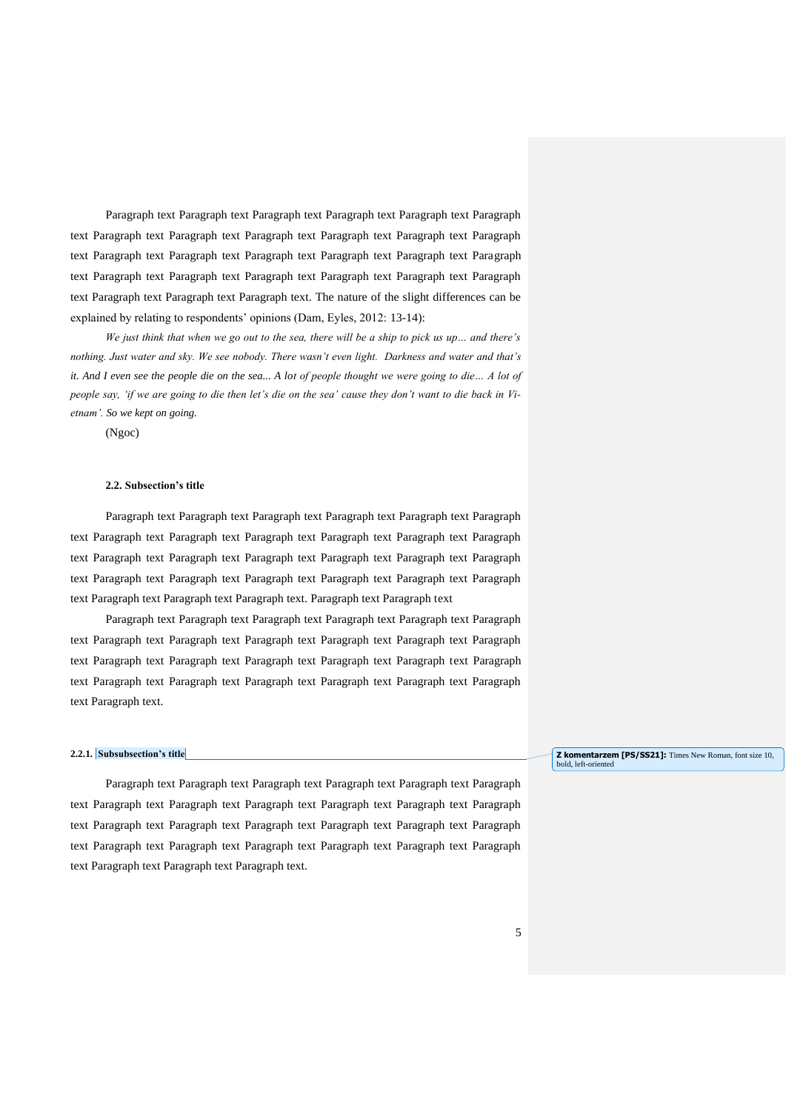Paragraph text Paragraph text Paragraph text Paragraph text Paragraph text Paragraph text Paragraph text Paragraph text Paragraph text Paragraph text Paragraph text Paragraph text Paragraph text Paragraph text Paragraph text Paragraph text Paragraph text Paragraph text Paragraph text Paragraph text Paragraph text Paragraph text Paragraph text Paragraph text Paragraph text Paragraph text Paragraph text. The nature of the slight differences can be explained by relating to respondents' opinions (Dam, Eyles, 2012: 13-14):

*We just think that when we go out to the sea, there will be a ship to pick us up… and there's nothing. Just water and sky. We see nobody. There wasn't even light. Darkness and water and that's it. And I even see the people die on the sea... A lot of people thought we were going to die... A lot of people say, 'if we are going to die then let's die on the sea' cause they don't want to die back in Vietnam'. So we kept on going.*

(Ngoc)

## **2.2. Subsection's title**

Paragraph text Paragraph text Paragraph text Paragraph text Paragraph text Paragraph text Paragraph text Paragraph text Paragraph text Paragraph text Paragraph text Paragraph text Paragraph text Paragraph text Paragraph text Paragraph text Paragraph text Paragraph text Paragraph text Paragraph text Paragraph text Paragraph text Paragraph text Paragraph text Paragraph text Paragraph text Paragraph text. Paragraph text Paragraph text

Paragraph text Paragraph text Paragraph text Paragraph text Paragraph text Paragraph text Paragraph text Paragraph text Paragraph text Paragraph text Paragraph text Paragraph text Paragraph text Paragraph text Paragraph text Paragraph text Paragraph text Paragraph text Paragraph text Paragraph text Paragraph text Paragraph text Paragraph text Paragraph text Paragraph text.

### **2.2.1. Subsubsection's title**

Paragraph text Paragraph text Paragraph text Paragraph text Paragraph text Paragraph text Paragraph text Paragraph text Paragraph text Paragraph text Paragraph text Paragraph text Paragraph text Paragraph text Paragraph text Paragraph text Paragraph text Paragraph text Paragraph text Paragraph text Paragraph text Paragraph text Paragraph text Paragraph text Paragraph text Paragraph text Paragraph text.

#### **Z komentarzem [PS/SS21]:** Times New Roman, font size 10, bold, left-oriented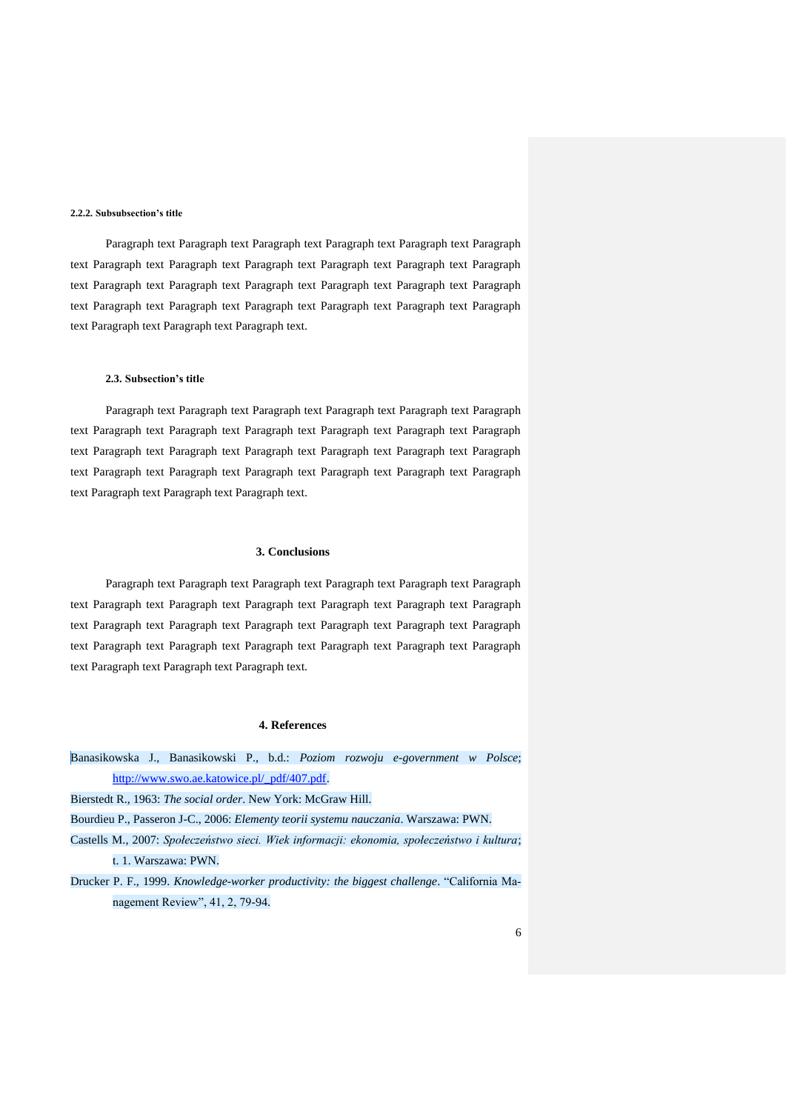### **2.2.2. Subsubsection's title**

Paragraph text Paragraph text Paragraph text Paragraph text Paragraph text Paragraph text Paragraph text Paragraph text Paragraph text Paragraph text Paragraph text Paragraph text Paragraph text Paragraph text Paragraph text Paragraph text Paragraph text Paragraph text Paragraph text Paragraph text Paragraph text Paragraph text Paragraph text Paragraph text Paragraph text Paragraph text Paragraph text.

### **2.3. Subsection's title**

Paragraph text Paragraph text Paragraph text Paragraph text Paragraph text Paragraph text Paragraph text Paragraph text Paragraph text Paragraph text Paragraph text Paragraph text Paragraph text Paragraph text Paragraph text Paragraph text Paragraph text Paragraph text Paragraph text Paragraph text Paragraph text Paragraph text Paragraph text Paragraph text Paragraph text Paragraph text Paragraph text.

## **3. Conclusions**

Paragraph text Paragraph text Paragraph text Paragraph text Paragraph text Paragraph text Paragraph text Paragraph text Paragraph text Paragraph text Paragraph text Paragraph text Paragraph text Paragraph text Paragraph text Paragraph text Paragraph text Paragraph text Paragraph text Paragraph text Paragraph text Paragraph text Paragraph text Paragraph text Paragraph text Paragraph text Paragraph text.

### **4. References**

Banasikowska J., Banasikowski P., b.d.: *Poziom rozwoju e-government w Polsce*; [http://www.swo.ae.katowice.pl/\\_pdf/407.pdf.](http://www.swo.ae.katowice.pl/_pdf/407.pdf)

Bierstedt R., 1963: *The social order*. New York: McGraw Hill.

Bourdieu P., Passeron J-C., 2006: *Elementy teorii systemu nauczania*. Warszawa: PWN.

- Castells M., 2007: *Społeczeństwo sieci. Wiek informacji: ekonomia, społeczeństwo i kultura*; t. 1. Warszawa: PWN.
- Drucker P. F., 1999. *Knowledge-worker productivity: the biggest challenge*. "California Management Review", 41, 2, 79-94.